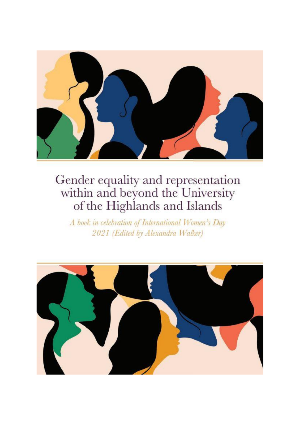

A book in celebration of International Women's Day 2021 (Edited by Alexandra Walker)

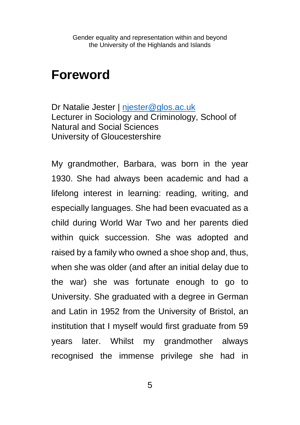## **Foreword**

Dr Natalie Jester | [njester@glos.ac.uk](mailto:njester@glos.ac.uk) Lecturer in Sociology and Criminology, School of Natural and Social Sciences University of Gloucestershire

My grandmother, Barbara, was born in the year 1930. She had always been academic and had a lifelong interest in learning: reading, writing, and especially languages. She had been evacuated as a child during World War Two and her parents died within quick succession. She was adopted and raised by a family who owned a shoe shop and, thus, when she was older (and after an initial delay due to the war) she was fortunate enough to go to University. She graduated with a degree in German and Latin in 1952 from the University of Bristol, an institution that I myself would first graduate from 59 years later. Whilst my grandmother always recognised the immense privilege she had in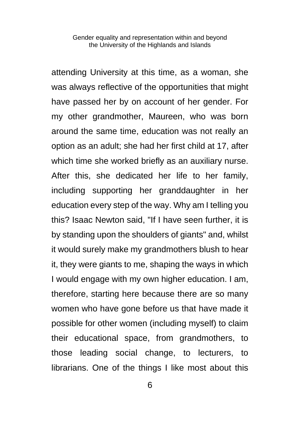attending University at this time, as a woman, she was always reflective of the opportunities that might have passed her by on account of her gender. For my other grandmother, Maureen, who was born around the same time, education was not really an option as an adult; she had her first child at 17, after which time she worked briefly as an auxiliary nurse. After this, she dedicated her life to her family, including supporting her granddaughter in her education every step of the way. Why am I telling you this? Isaac Newton said, "If I have seen further, it is by standing upon the shoulders of giants" and, whilst it would surely make my grandmothers blush to hear it, they were giants to me, shaping the ways in which I would engage with my own higher education. I am, therefore, starting here because there are so many women who have gone before us that have made it possible for other women (including myself) to claim their educational space, from grandmothers, to those leading social change, to lecturers, to librarians. One of the things I like most about this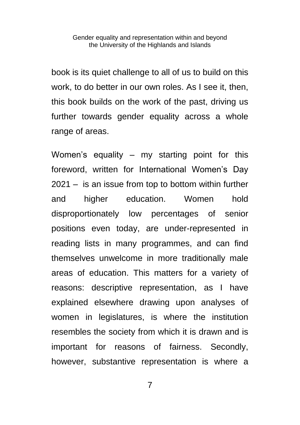book is its quiet challenge to all of us to build on this work, to do better in our own roles. As I see it, then, this book builds on the work of the past, driving us further towards gender equality across a whole range of areas.

Women's equality – my starting point for this foreword, written for International Women's Day 2021 – is an issue from top to bottom within further and higher education. Women hold disproportionately low percentages of senior positions even today, are under-represented in reading lists in many programmes, and can find themselves unwelcome in more traditionally male areas of education. This matters for a variety of reasons: descriptive representation, as I have explained elsewhere drawing upon analyses of women in legislatures, is where the institution resembles the society from which it is drawn and is important for reasons of fairness. Secondly, however, substantive representation is where a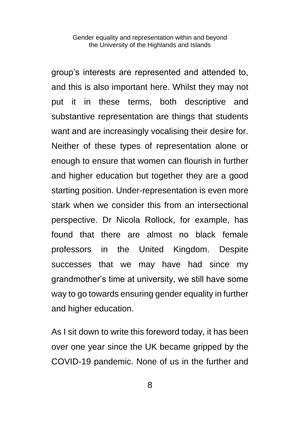group's interests are represented and attended to, and this is also important here. Whilst they may not put it in these terms, both descriptive and substantive representation are things that students want and are increasingly vocalising their desire for. Neither of these types of representation alone or enough to ensure that women can flourish in further and higher education but together they are a good starting position. Under-representation is even more stark when we consider this from an intersectional perspective. Dr Nicola Rollock, for example, has found that there are almost no black female professors in the United Kingdom. Despite successes that we may have had since my grandmother's time at university, we still have some way to go towards ensuring gender equality in further and higher education.

As I sit down to write this foreword today, it has been over one year since the UK became gripped by the COVID-19 pandemic. None of us in the further and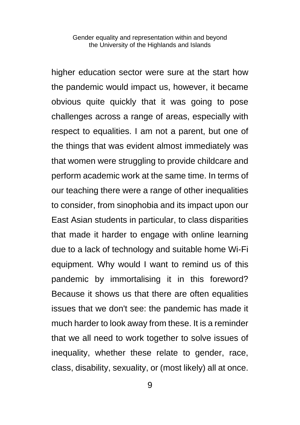higher education sector were sure at the start how the pandemic would impact us, however, it became obvious quite quickly that it was going to pose challenges across a range of areas, especially with respect to equalities. I am not a parent, but one of the things that was evident almost immediately was that women were struggling to provide childcare and perform academic work at the same time. In terms of our teaching there were a range of other inequalities to consider, from sinophobia and its impact upon our East Asian students in particular, to class disparities that made it harder to engage with online learning due to a lack of technology and suitable home Wi-Fi equipment. Why would I want to remind us of this pandemic by immortalising it in this foreword? Because it shows us that there are often equalities issues that we don't see: the pandemic has made it much harder to look away from these. It is a reminder that we all need to work together to solve issues of inequality, whether these relate to gender, race, class, disability, sexuality, or (most likely) all at once.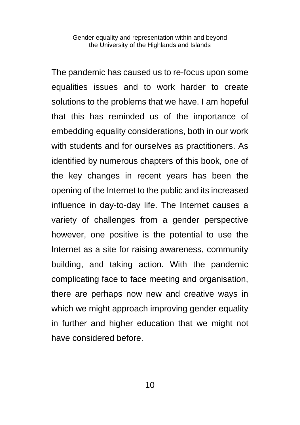The pandemic has caused us to re-focus upon some equalities issues and to work harder to create solutions to the problems that we have. I am hopeful that this has reminded us of the importance of embedding equality considerations, both in our work with students and for ourselves as practitioners. As identified by numerous chapters of this book, one of the key changes in recent years has been the opening of the Internet to the public and its increased influence in day-to-day life. The Internet causes a variety of challenges from a gender perspective however, one positive is the potential to use the Internet as a site for raising awareness, community building, and taking action. With the pandemic complicating face to face meeting and organisation, there are perhaps now new and creative ways in which we might approach improving gender equality in further and higher education that we might not have considered before.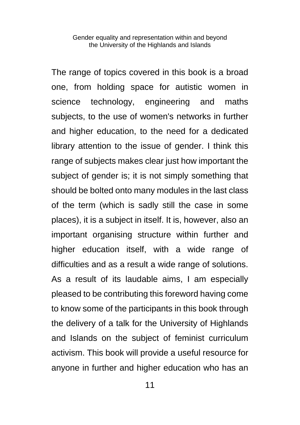The range of topics covered in this book is a broad one, from holding space for autistic women in science technology, engineering and maths subjects, to the use of women's networks in further and higher education, to the need for a dedicated library attention to the issue of gender. I think this range of subjects makes clear just how important the subject of gender is; it is not simply something that should be bolted onto many modules in the last class of the term (which is sadly still the case in some places), it is a subject in itself. It is, however, also an important organising structure within further and higher education itself, with a wide range of difficulties and as a result a wide range of solutions. As a result of its laudable aims, I am especially pleased to be contributing this foreword having come to know some of the participants in this book through the delivery of a talk for the University of Highlands and Islands on the subject of feminist curriculum activism. This book will provide a useful resource for anyone in further and higher education who has an